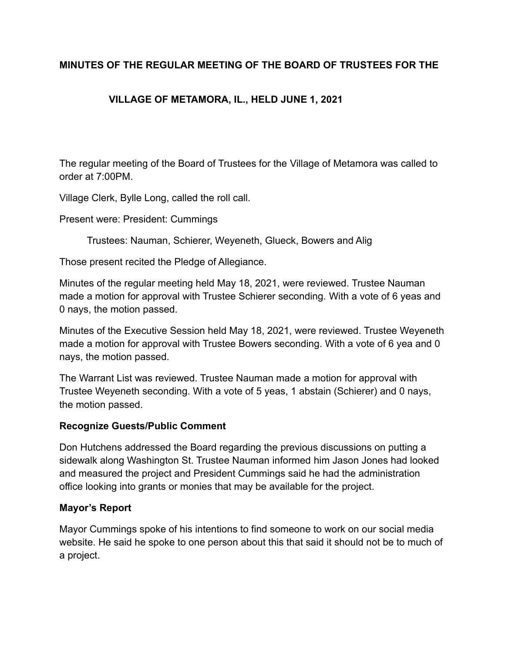## **MINUTES OF THE REGULAR MEETING OF THE BOARD OF TRUSTEES FOR THE**

# **VILLAGE OF METAMORA, IL., HELD JUNE 1, 2021**

The regular meeting of the Board of Trustees for the Village of Metamora was called to order at 7:00PM.

Village Clerk, Bylle Long, called the roll call.

Present were: President: Cummings

Trustees: Nauman, Schierer, Weyeneth, Glueck, Bowers and Alig

Those present recited the Pledge of Allegiance.

Minutes of the regular meeting held May 18, 2021, were reviewed. Trustee Nauman made a motion for approval with Trustee Schierer seconding. With a vote of 6 yeas and 0 nays, the motion passed.

Minutes of the Executive Session held May 18, 2021, were reviewed. Trustee Weyeneth made a motion for approval with Trustee Bowers seconding. With a vote of 6 yea and 0 nays, the motion passed.

The Warrant List was reviewed. Trustee Nauman made a motion for approval with Trustee Weyeneth seconding. With a vote of 5 yeas, 1 abstain (Schierer) and 0 nays, the motion passed.

#### **Recognize Guests/Public Comment**

Don Hutchens addressed the Board regarding the previous discussions on putting a sidewalk along Washington St. Trustee Nauman informed him Jason Jones had looked and measured the project and President Cummings said he had the administration office looking into grants or monies that may be available for the project.

### **Mayor's Report**

Mayor Cummings spoke of his intentions to find someone to work on our social media website. He said he spoke to one person about this that said it should not be to much of a project.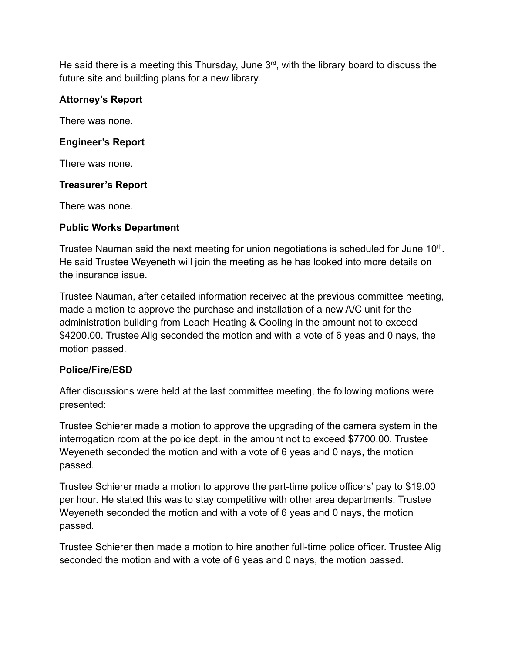He said there is a meeting this Thursday, June  $3<sup>rd</sup>$ , with the library board to discuss the future site and building plans for a new library.

## **Attorney's Report**

There was none.

### **Engineer's Report**

There was none.

### **Treasurer's Report**

There was none.

### **Public Works Department**

Trustee Nauman said the next meeting for union negotiations is scheduled for June 10<sup>th</sup>. He said Trustee Weyeneth will join the meeting as he has looked into more details on the insurance issue.

Trustee Nauman, after detailed information received at the previous committee meeting, made a motion to approve the purchase and installation of a new A/C unit for the administration building from Leach Heating & Cooling in the amount not to exceed \$4200.00. Trustee Alig seconded the motion and with a vote of 6 yeas and 0 nays, the motion passed.

### **Police/Fire/ESD**

After discussions were held at the last committee meeting, the following motions were presented:

Trustee Schierer made a motion to approve the upgrading of the camera system in the interrogation room at the police dept. in the amount not to exceed \$7700.00. Trustee Weyeneth seconded the motion and with a vote of 6 yeas and 0 nays, the motion passed.

Trustee Schierer made a motion to approve the part-time police officers' pay to \$19.00 per hour. He stated this was to stay competitive with other area departments. Trustee Weyeneth seconded the motion and with a vote of 6 yeas and 0 nays, the motion passed.

Trustee Schierer then made a motion to hire another full-time police officer. Trustee Alig seconded the motion and with a vote of 6 yeas and 0 nays, the motion passed.